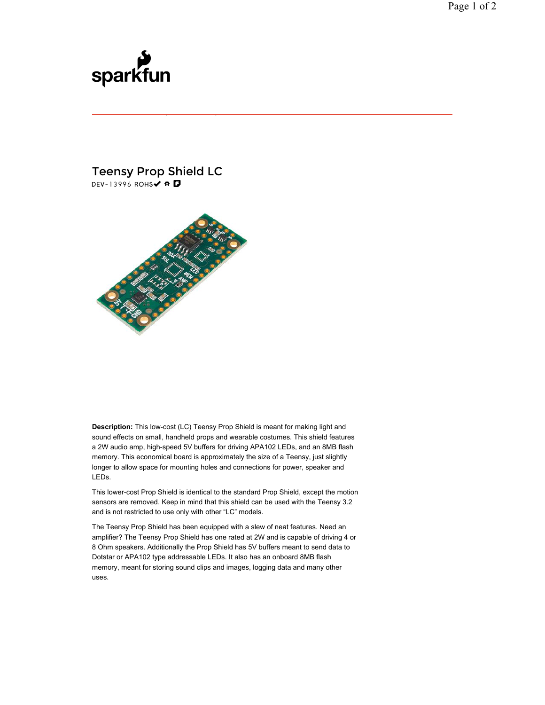## sparkfun

## Teensy Prop Shield LC DEV-13996 ROHS√ # D



**Description:** This low-cost (LC) Teensy Prop Shield is meant for making light and sound effects on small, handheld props and wearable costumes. This shield features a 2W audio amp, high-speed 5V buffers for driving APA102 LEDs, and an 8MB flash memory. This economical board is approximately the size of a Teensy, just slightly longer to allow space for mounting holes and connections for power, speaker and LEDs.

This lower-cost Prop Shield is identical to the standard Prop Shield, except the motion sensors are removed. Keep in mind that this shield can be used with the Teensy 3.2 and is not restricted to use only with other "LC" models.

The Teensy Prop Shield has been equipped with a slew of neat features. Need an amplifier? The Teensy Prop Shield has one rated at 2W and is capable of driving 4 or 8 Ohm speakers. Additionally the Prop Shield has 5V buffers meant to send data to Dotstar or APA102 type addressable LEDs. It also has an onboard 8MB flash memory, meant for storing sound clips and images, logging data and many other uses.